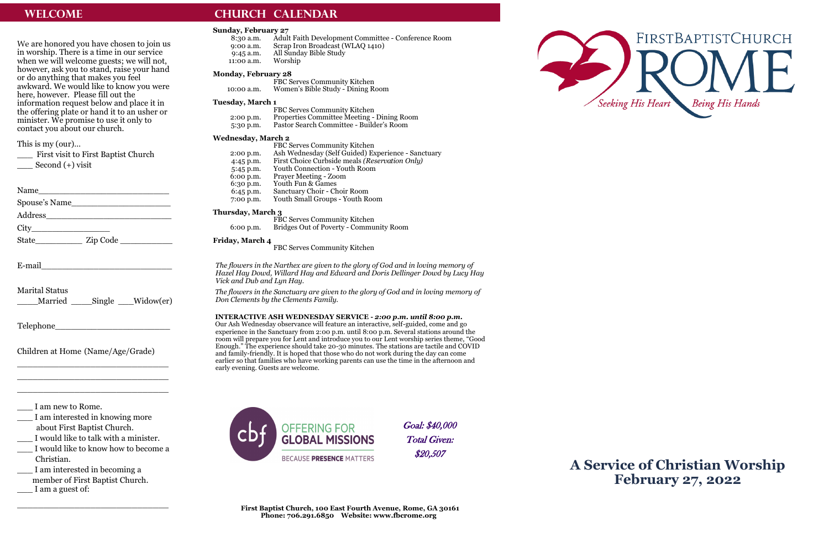We are honored you have chosen to join us in worship. There is a time in our service when we will welcome guests; we will not, however, ask you to stand, raise your hand or do anything that makes you feel awkward. We would like to know you were here, however. Please fill out the information request below and place it in the offering plate or hand it to an usher or minister. We promise to use it only to contact you about our church.

\_\_\_ First visit to First Baptist Church Second  $(+)$  visit

| Name                                                                                                                                                                                                                                                                                                                                                                                               |  |
|----------------------------------------------------------------------------------------------------------------------------------------------------------------------------------------------------------------------------------------------------------------------------------------------------------------------------------------------------------------------------------------------------|--|
| Spouse's Name                                                                                                                                                                                                                                                                                                                                                                                      |  |
| Address                                                                                                                                                                                                                                                                                                                                                                                            |  |
| $City$ and $\qquad \qquad$ and $\qquad \qquad$ $\qquad \qquad$ $\qquad \qquad$ $\qquad \qquad$ $\qquad \qquad$ $\qquad \qquad$ $\qquad \qquad$ $\qquad \qquad$ $\qquad \qquad$ $\qquad \qquad$ $\qquad \qquad$ $\qquad \qquad$ $\qquad \qquad$ $\qquad \qquad$ $\qquad \qquad$ $\qquad \qquad$ $\qquad \qquad$ $\qquad \qquad$ $\qquad \qquad$ $\qquad \qquad$ $\qquad \qquad$ $\qquad \qquad$ $\$ |  |
| State                                                                                                                                                                                                                                                                                                                                                                                              |  |
|                                                                                                                                                                                                                                                                                                                                                                                                    |  |
| E-mail                                                                                                                                                                                                                                                                                                                                                                                             |  |

This is my (our)…

I am interested in knowing more about First Baptist Church.

I would like to talk with a minister.

I would like to know how to become a Christian.

8:30 a.m. Adult Faith Development Committee - Conference Room 9:00 a.m. Scrap Iron Broadcast (WLAQ 1410) 9:45 a.m. All Sunday Bible Study<br>11:00 a.m. Worship 11:00 a.m.

| <b>Marital Status</b> |                   |  |
|-----------------------|-------------------|--|
| <b>Tr</b> 1           | $T_{1}T^{\ast}$ 1 |  |

\_\_\_\_Married \_\_\_\_Single \_\_\_Widow(er)

Telephone\_\_\_\_\_\_\_\_\_\_\_\_\_\_\_\_\_\_\_\_\_\_

Children at Home (Name/Age/Grade)

\_\_\_\_\_\_\_\_\_\_\_\_\_\_\_\_\_\_\_\_\_\_\_\_\_\_\_\_\_ \_\_\_\_\_\_\_\_\_\_\_\_\_\_\_\_\_\_\_\_\_\_\_\_\_\_\_\_\_ \_\_\_\_\_\_\_\_\_\_\_\_\_\_\_\_\_\_\_\_\_\_\_\_\_\_\_\_\_

\_\_\_ I am new to Rome.

\_\_\_ I am interested in becoming a member of First Baptist Church. \_\_\_ I am a guest of:

## **WELCOME CHURCH CALENDAR**

\_\_\_\_\_\_\_\_\_\_\_\_\_\_\_\_\_\_\_\_\_\_\_\_\_\_\_\_\_

# **A Service of Christian Worship February 27, 2022**

### **Sunday, February 27**

#### **Monday, February 28**

FBC Serves Community Kitchen 10:00 a.m. Women's Bible Study - Dining Room

#### **Tuesday, March 1**

|             | FBC Serves Community Kitchen                      |
|-------------|---------------------------------------------------|
| $2:00$ p.m. | <b>Properties Committee Meeting - Dining Room</b> |
| 5:30 p.m.   | Pastor Search Committee - Builder's Room          |

#### **Wednesday, March 2**

|             | FBC Serves Community Kitchen                       |
|-------------|----------------------------------------------------|
| $2:00$ p.m. | Ash Wednesday (Self Guided) Experience - Sanctuary |
| $4:45$ p.m. | First Choice Curbside meals (Reservation Only)     |
| $5:45$ p.m. | Youth Connection - Youth Room                      |
| 6:00 p.m.   | <b>Prayer Meeting - Zoom</b>                       |
| $6:30$ p.m. | Youth Fun & Games                                  |
| $6:45$ p.m. | Sanctuary Choir - Choir Room                       |
| 7:00 p.m.   | Youth Small Groups - Youth Room                    |

#### **Thursday, March 3**

FBC Serves Community Kitchen 6:00 p.m. Bridges Out of Poverty - Community Room

#### **Friday, March 4**

FBC Serves Community Kitchen

*The flowers in the Narthex are given to the glory of God and in loving memory of Hazel Hay Dowd, Willard Hay and Edward and Doris Dellinger Dowd by Lucy Hay Vick and Dub and Lyn Hay.*

*The flowers in the Sanctuary are given to the glory of God and in loving memory of Don Clements by the Clements Family.*

#### **INTERACTIVE ASH WEDNESDAY SERVICE -** *2:00 p.m. until 8:00 p.m.*

Our Ash Wednesday observance will feature an interactive, self-guided, come and go experience in the Sanctuary from 2:00 p.m. until 8:00 p.m. Several stations around the room will prepare you for Lent and introduce you to our Lent worship series theme, "Good Enough." The experience should take 20-30 minutes. The stations are tactile and COVID and family-friendly. It is hoped that those who do not work during the day can come earlier so that families who have working parents can use the time in the afternoon and early evening. Guests are welcome.





Goal: \$40,000 Total Given: \$20,507